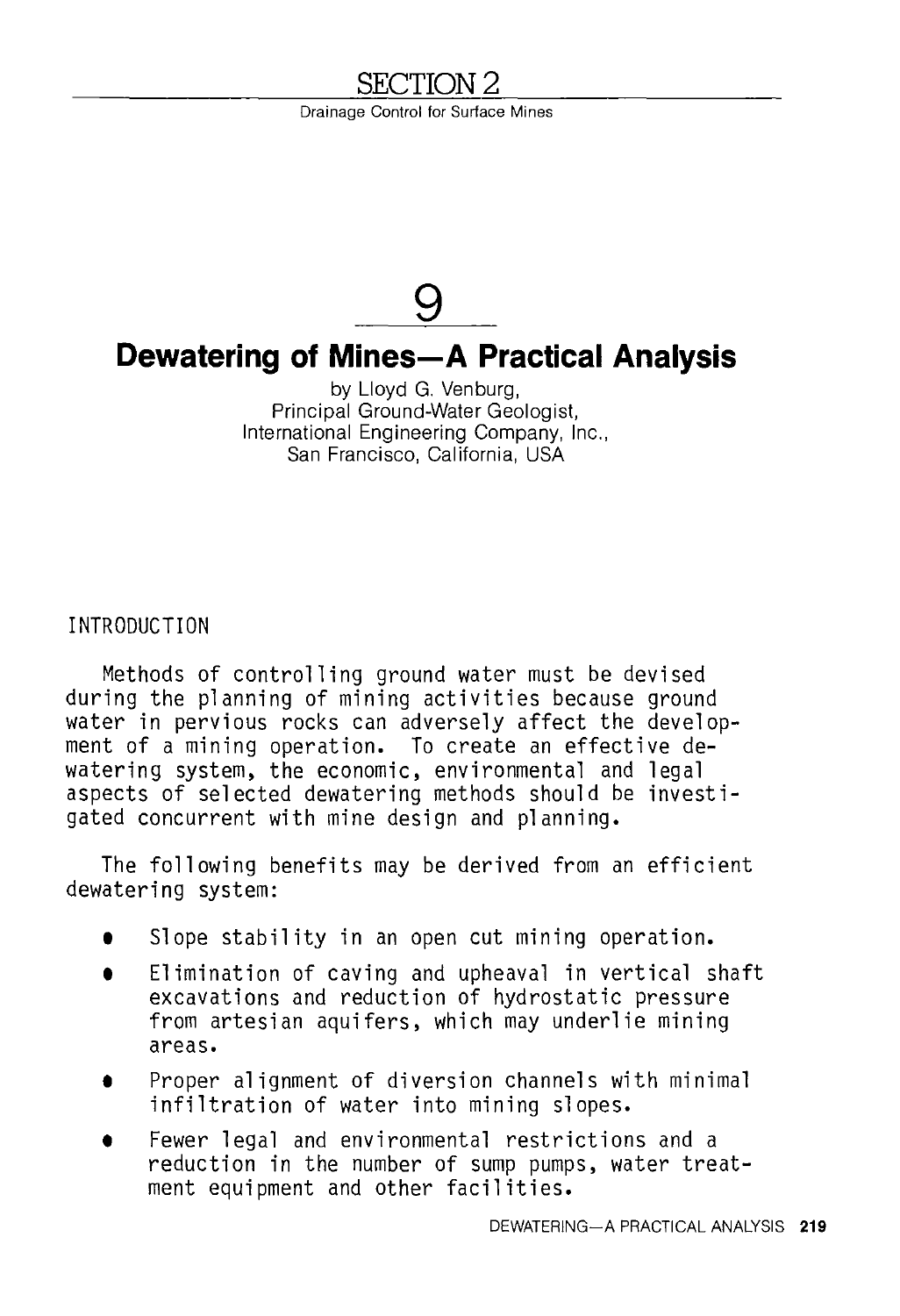# <u>SECTION 2</u>

Drainage Control for Surface Mines



# **Dewatering of Mines-A Practical Analysis**

by Lloyd G. Venburg, Principal Ground-Water Geologist, International Engineering Company, Inc., San Francisco, California, USA

INTRODUCTION

Methods of controlling ground water must be devised during the planning of mining activities because ground water in pervious rocks can adversely affect the development of a mining operation. To create an effective dewatering system, the economic, environmental and legal aspects of selected dewatering methods should be investigated concurrent with mine design and planning.

The following benefits may be derived from an efficient dewatering system:

- **<sup>1</sup>**Slope stability in an open cut mining operation.
- **<sup>1</sup>**Elimination of caving and upheaval in vertical shaft excavations and reduction of hydrostatic pressure from artesian aquifers, which may underlie mining areas.
- **<sup>1</sup>**Proper alignment of diversion channels with minimal infiltration of water into mining slopes.
- **<sup>1</sup>**Fewer legal and environmental restrictions and a reduction in the number of sump pumps, water treatment equipment and other facilities.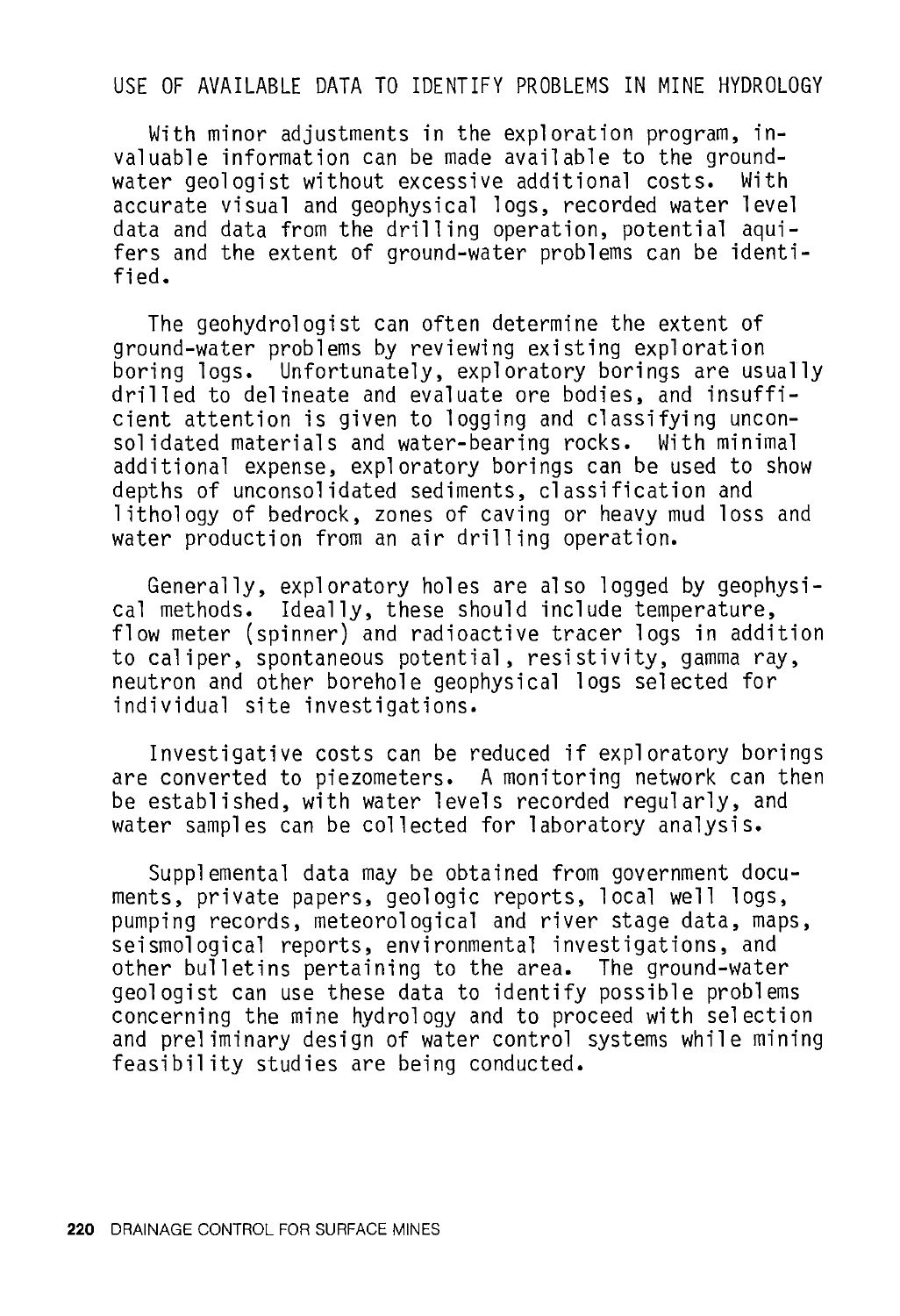### USE OF AVAILABLE DATA TO IDENTIFY PROBLEMS IN MINE HYDROLOGY

With minor adjustments in the exploration program, invaluable information can be made available to the groundwater geologist without excessive additional costs. accurate visual and geophysical logs, recorded water level data and data from the drilling operation, potential aqui- fers and the extent of ground-water problems can be identified.

The geohydrologist can often determine the extent of ground-water problems by reviewing existing exploration boring logs. Unfortunately, exploratory borings are usually drilled to delineate and evaluate ore bodies, and insufficient attention is given to logging and classifying unconsolidated materials and water-bearing rocks. With minimal additional expense, exploratory borings can be used to show depths of unconsolidated sediments, classification and lithology of bedrock, zones of caving or heavy mud loss and water production from an air drilling operation.

Generally, exploratory holes are also logged by geophysical methods. Ideally, these should include temperature, flow meter (spinner) and radioactive tracer logs in addition to caliper, spontaneous potential, resistivity, gamma ray, neutron and other borehole geophysical logs selected for individual site investigations.

Investigative costs can be reduced if exploratory borings are converted to piezometers. A monitoring network can then be established, with water levels recorded regularly, and water samples can be collected for laboratory analysis.

Supplemental data may be obtained from government documents, private papers, geologic reports, local well logs, pumping records, meteorological and river stage data, maps, seismological reports, environmental investigations, and other bulletins pertaining to the area. The ground-water geologist can use these data to identify possible problems concerning the mine hydrology and to proceed with selection and preliminary design of water control systems while mining feasibility studies are being conducted.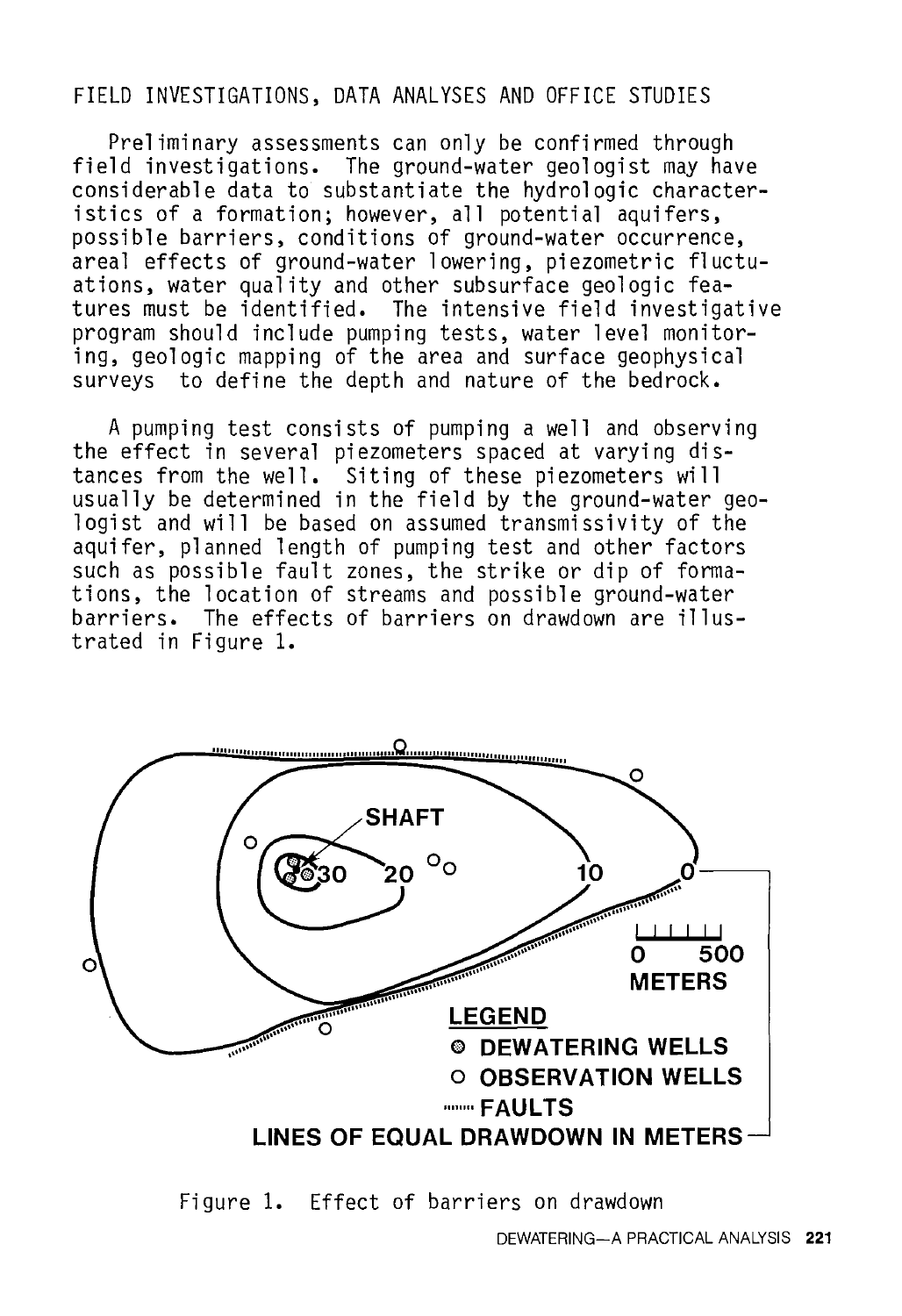### FIELD INVESTIGATIONS, DATA ANALYSES AND OFFICE STUDIES

Preliminary assessments can only be confirmed through field investigations. The ground-water geologist may have considerable data to substantiate the hydrologic characteristics of a formation; however, all potential aquifers, possible barriers, conditions of ground-water occurrence, areal effects of ground-water lowering, piezometric fluctuations, water quality and other subsurface geologic features must be identified. The intensive field investigative program should include pumping tests, water level monitoring, geologic mapping of the area and surface geophysical surveys to define the depth and nature of the bedrock.

A pumping test consists of pumping a well and observing the effect in several piezometers spaced at varying distances from the well. Siting of these piezometers will usually be determined in the field by the ground-water geologist and will be based on assumed transmissivity of the aquifer, planned length of pumping test and other factors such as possible fault zones, the strike or dip of formations, the location of streams and possible ground-water barriers. The effects of barriers on drawdown are illustrated in Figure 1.



Figure 1. Effect of barriers on drawdown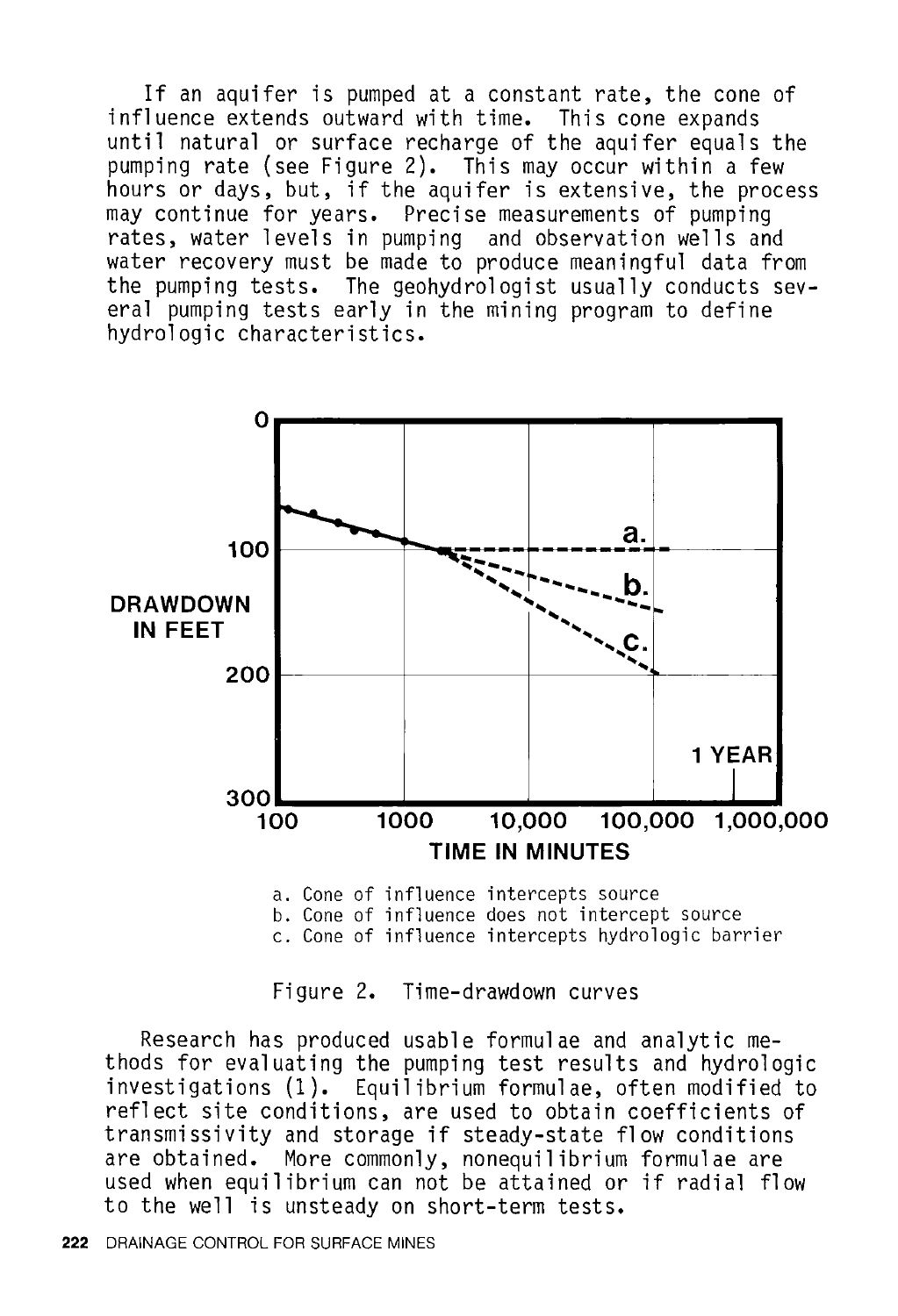If an aquifer is pumped at a constant rate, the cone of influence extends outward with time. This cone expands until natural or surface recharge of the aquifer equals the pumping rate (see Figure 2). This may occur within a few hours or days, but, if the aquifer is extensive, the process may continue for years. Precise measurements of pumping rates, water levels in pumping and observation wells and water recovery must be made to produce meaningful data from the pumping tests. The geohydrologist usually conducts several pumping tests early in the mining program to define hydrologic characteristics.



b. Cone of influence does not intercept source c. Cone of influence intercepts hydrologic barrier

Figure 2. Time-drawdown curves

Research has produced usable formulae and analytic methods for evaluating the pumping test results and hydrologic investigations (1). Equilibrium formulae, often modified to reflect site conditions, are used to obtain coefficients of transmissivity and storage if steady-state flow conditions are obtained. More commonly, nonequilibrium formulae are used when equilibrium can not be attained or if radial flow to the well is unsteady on short-term tests.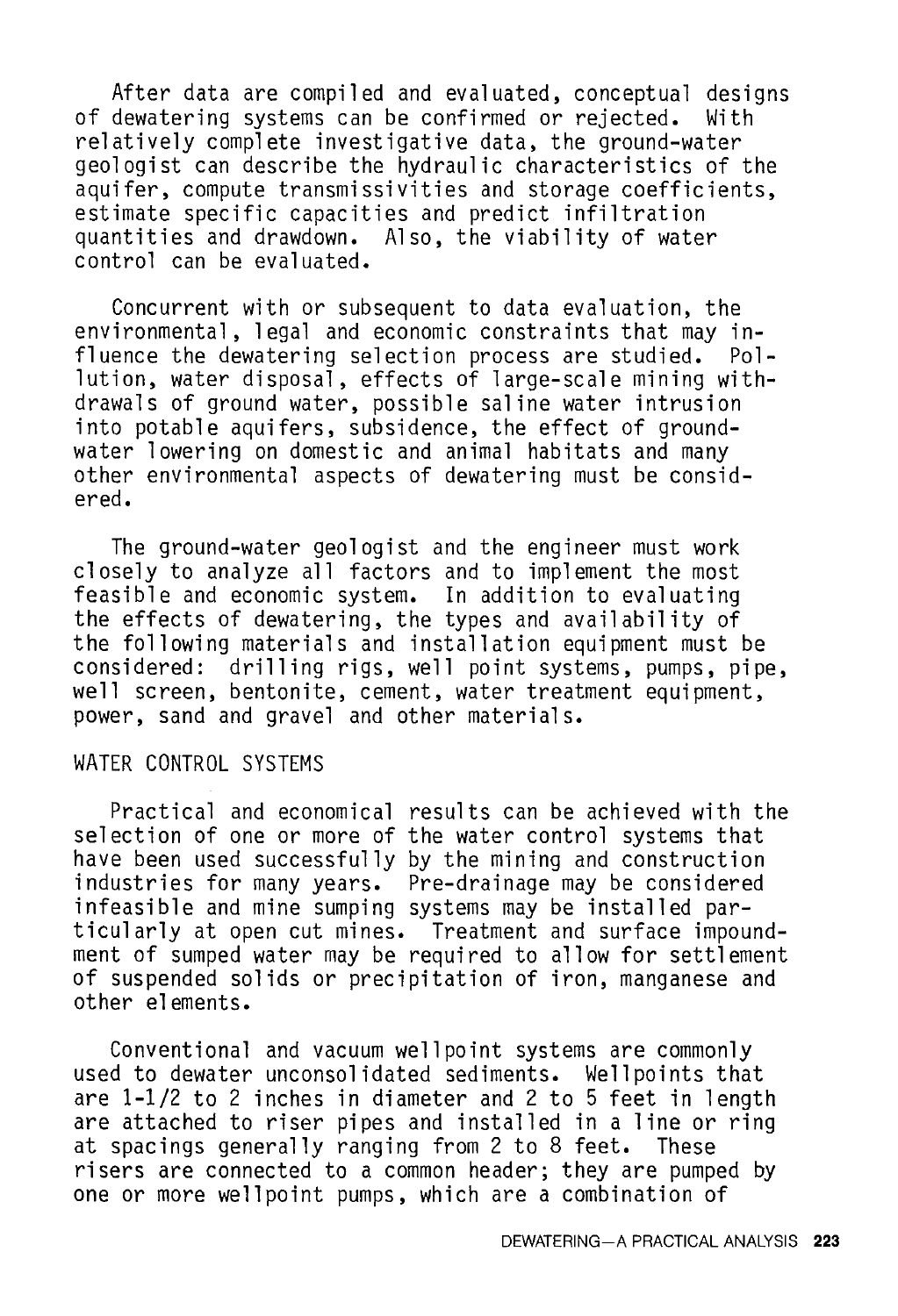After data are compiled and evaluated, conceptual designs dewatering systems can be confirmed or rejected. With of dewatering systems can be confirmed or rejected. relatively complete investigative data, the ground-water geologist can describe the hydraulic characteristics of the aquifer, compute transmissivities and storage coefficients, estimate specific capacities and predict infiltration quantities and drawdown. Also, the viability of water control can be evaluated.

Concurrent with or subsequent to data evaluation, the environmental, legal and economic constraints that may influence the dewatering selection process are studied. Pollution, water disposal, effects of large-scale mining withdrawals of ground water, possible saline water intrusion into potable aquifers, subsidence, the effect of groundwater lowering on domestic and animal habitats and many other environmental aspects of dewatering must be considered.

The ground-water geologist and the engineer must work closely to analyze all factors and to implement the most feasible and economic system. In addition to evaluating the effects of dewatering, the types and availability of the following materials and installation equipment must be considered: drilling rigs, well point systems, pumps, pipe, well screen, bentonite, cement, water treatment equipment, power, sand and gravel and other materials.

## WATER CONTROL SYSTEMS

Practical and economical results can be achieved with the selection of one or more of the water control systems that have been used successfully by the mining and construction industries for many years. Pre-drainage may be considered infeasible and mine sumping systems may be installed particularly at open cut mines. Treatment and surface impoundment of sumped water may be required to allow for settlement of suspended solids or precipitation of iron, manganese and other elements.

Conventional and vacuum wellpoint systems are commonly used to dewater unconsolidated sediments. Wellpoints that are 1-1/2 to 2 inches in diameter and 2 to 5 feet in length are attached to riser pipes and installed in a line or ring<br>at spacings generally ranging from 2 to 8 feet. These at spacings generally ranging from 2 to 8 feet. risers are connected to a common header; they are pumped by one or more wellpoint pumps, which are a combination of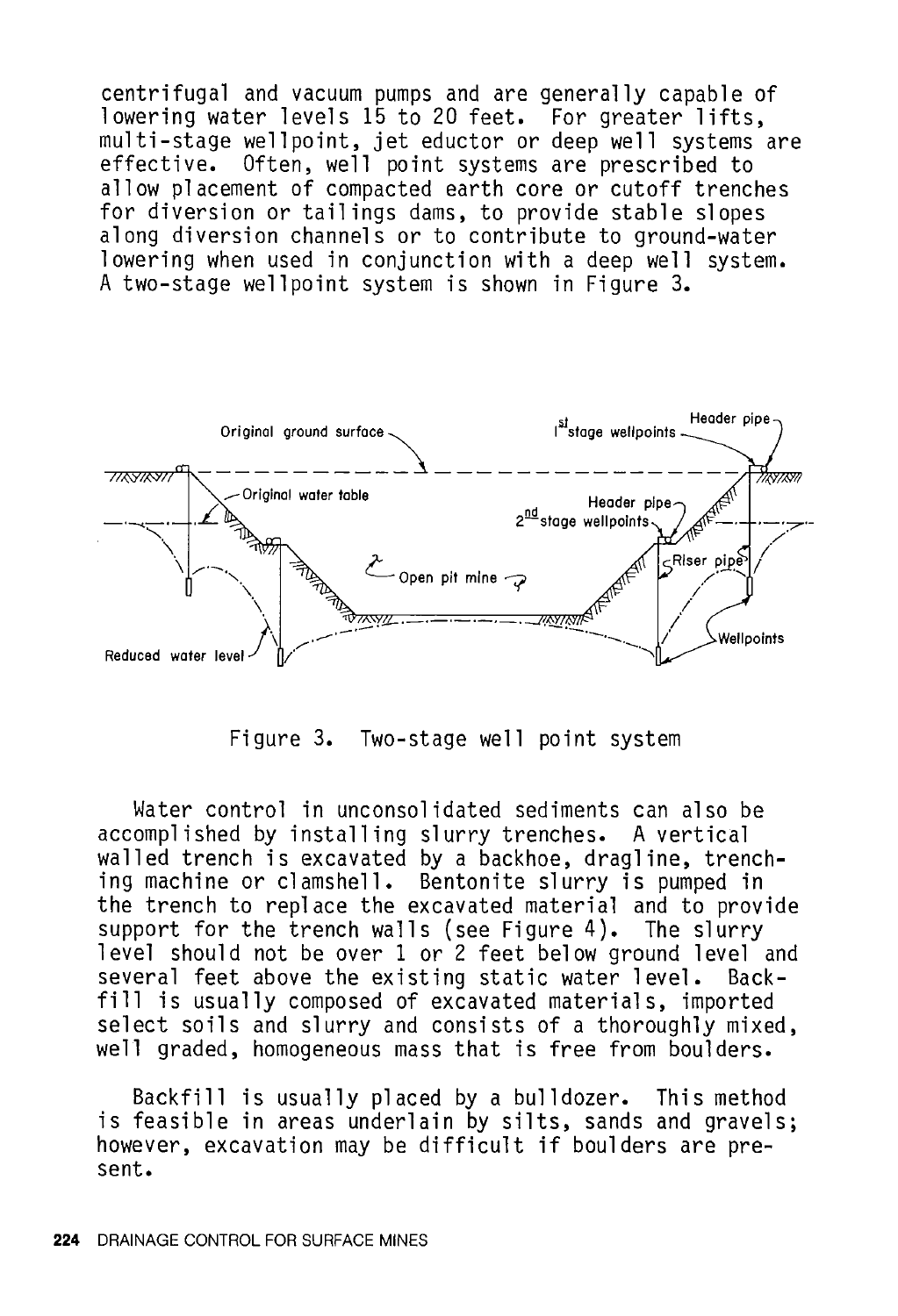centrifugal and vacuum pumps and are generally capable of lowering water levels 15 to 20 feet. For greater lifts, multi-stage wellpoint, jet eductor or deep well systems are effective. Often, well point systems are prescribed to allow placement of compacted earth core or cutoff trenches for diversion or tailings dams, to provide stable slopes along diversion channels or to contribute to ground-water lowering when used in conjunction with a deep well system. A two-stage wellpoint system is shown in Figure 3.



Figure 3. Two-stage well point system

Water control in unconsolidated sediments can also be accomplished by installing slurry trenches. A vertical walled trench is excavated by a backhoe, dragline, trenching machine or clamshell. Bentonite slurry is pumped in the trench to replace the excavated material and to provide support for the trench walls (see Figure 4). The slurry level should not be over 1 or 2 feet below ground level and several feet above the existing static water level. Backfill is usually composed of excavated materials, imported select soils and slurry and consists of a thoroughly mixed, well graded, homogeneous mass that is free from boulders.

Backfill is usually placed by a bulldozer. This method is feasible in areas underlain by silts, sands and gravels; however, excavation may be difficult if boulders are present.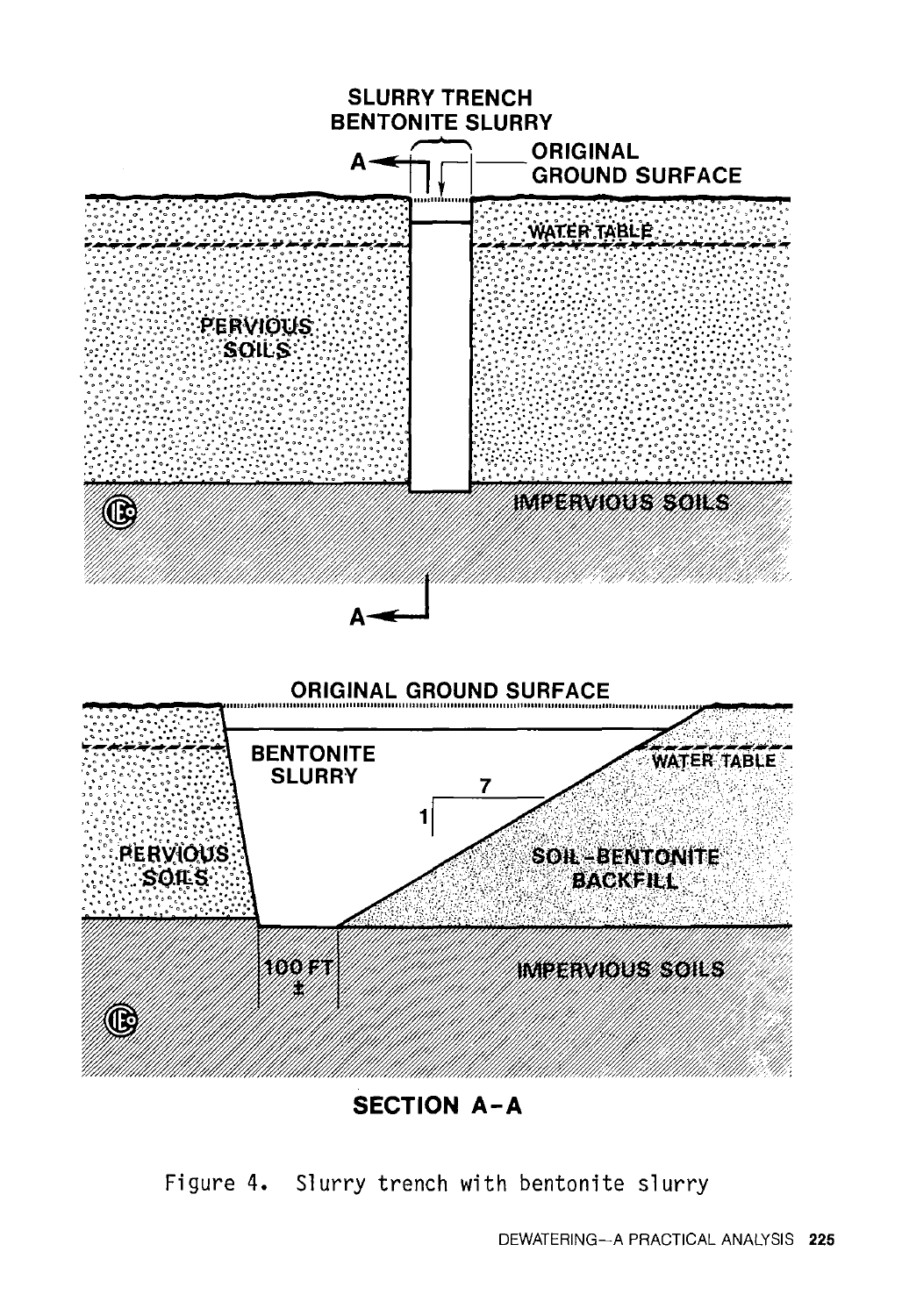

**SECTION A-A** 

Figure 4. Slurry trench with bentonite slurry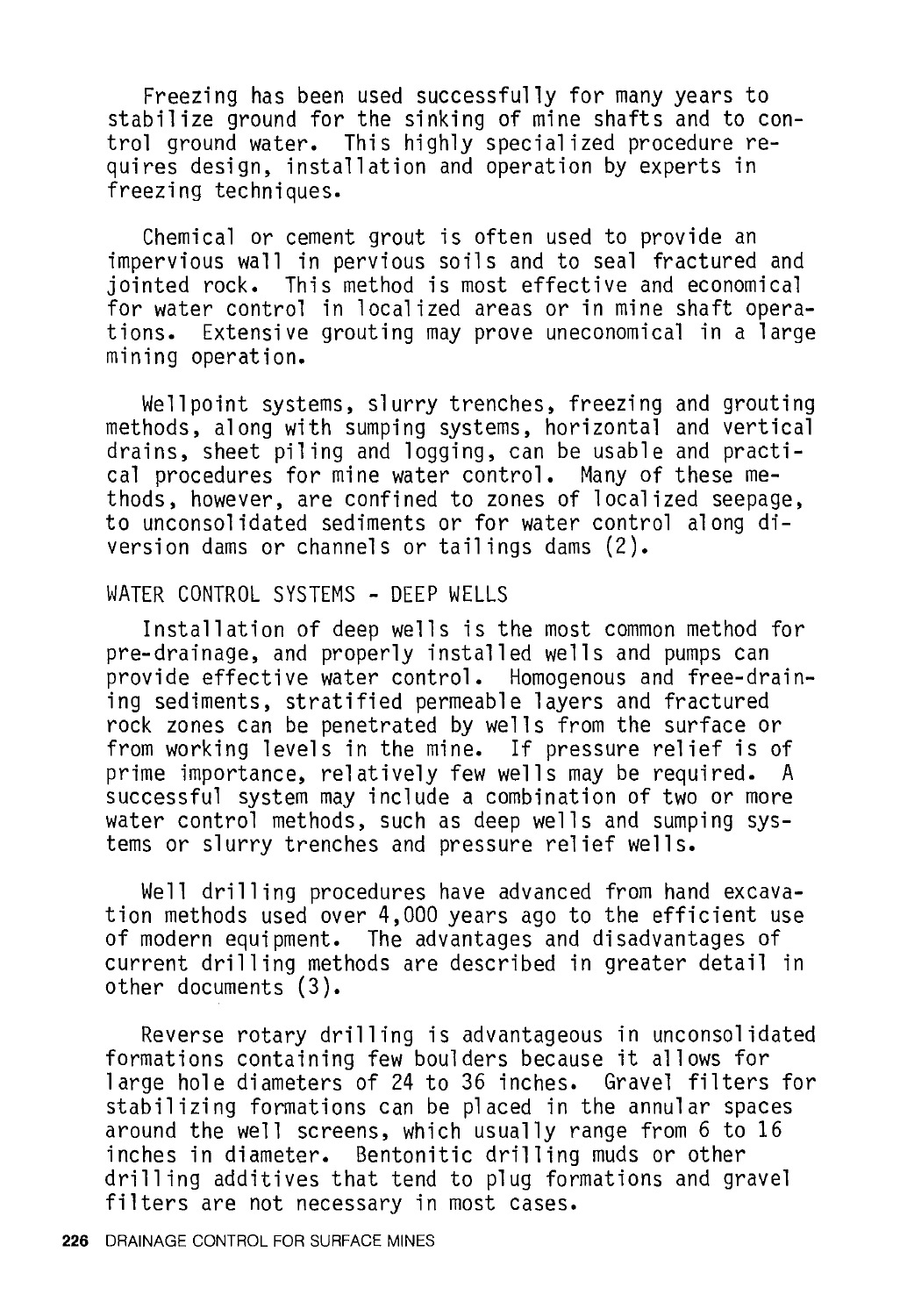Freezing has been used successfully for many years to stabilize ground for the sinking of mine shafts and to control ground water. This highly specialized procedure requires design, installation and operation by experts in freezing techniques.

Chemical or cement grout is often used to provide an impervious wall in pervious soils and to seal fractured and jointed rock. This method is most effective and economical tions. Extensive grouting may prove uneconomical in a large mining operation.

Wellpoint systems, slurry trenches, freezing and grouting methods, along with sumping systems, horizontal and vertical drains, sheet piling and logging, can be usable and practical procedures for mine water control. Many of these methods, however, are confined to zones of localized seepage, to unconsolidated sediments or for water control along diversion dams or channels or tailings dams (2).

#### WATER CONTROL SYSTEMS - DEEP WELLS

Installation of deep wells is the most common method for pre-drainage, and properly installed wells and pumps can provide effective water control. Homogenous and free-draining sediments, stratified permeable layers and fractured rock zones can be penetrated by wells from the surface or from working levels in the mine. If pressure relief is of prime importance, relatively few wells may be required. A successful system may include a combination of two or more water control methods, such as deep wells and sumping systems or slurry trenches and pressure relief wells.

Well drilling procedures have advanced from hand excavation methods used over 4,000 years ago to the efficient use of modern equipment. The advantages and disadvantages of current drilling methods are described in greater detail in other documents (3).

Reverse rotary drilling is advantageous in unconsolidated formations containing few boulders because it allows for large hole diameters of 24 to 36 inches. Gravel filters for stabilizing formations can be placed in the annular spaces around the well screens, which usually range from 6 to 16 inches in diameter. Bentonitic drilling muds or other drilling additives that tend to plug formations and gravel filters are not necessary in most cases.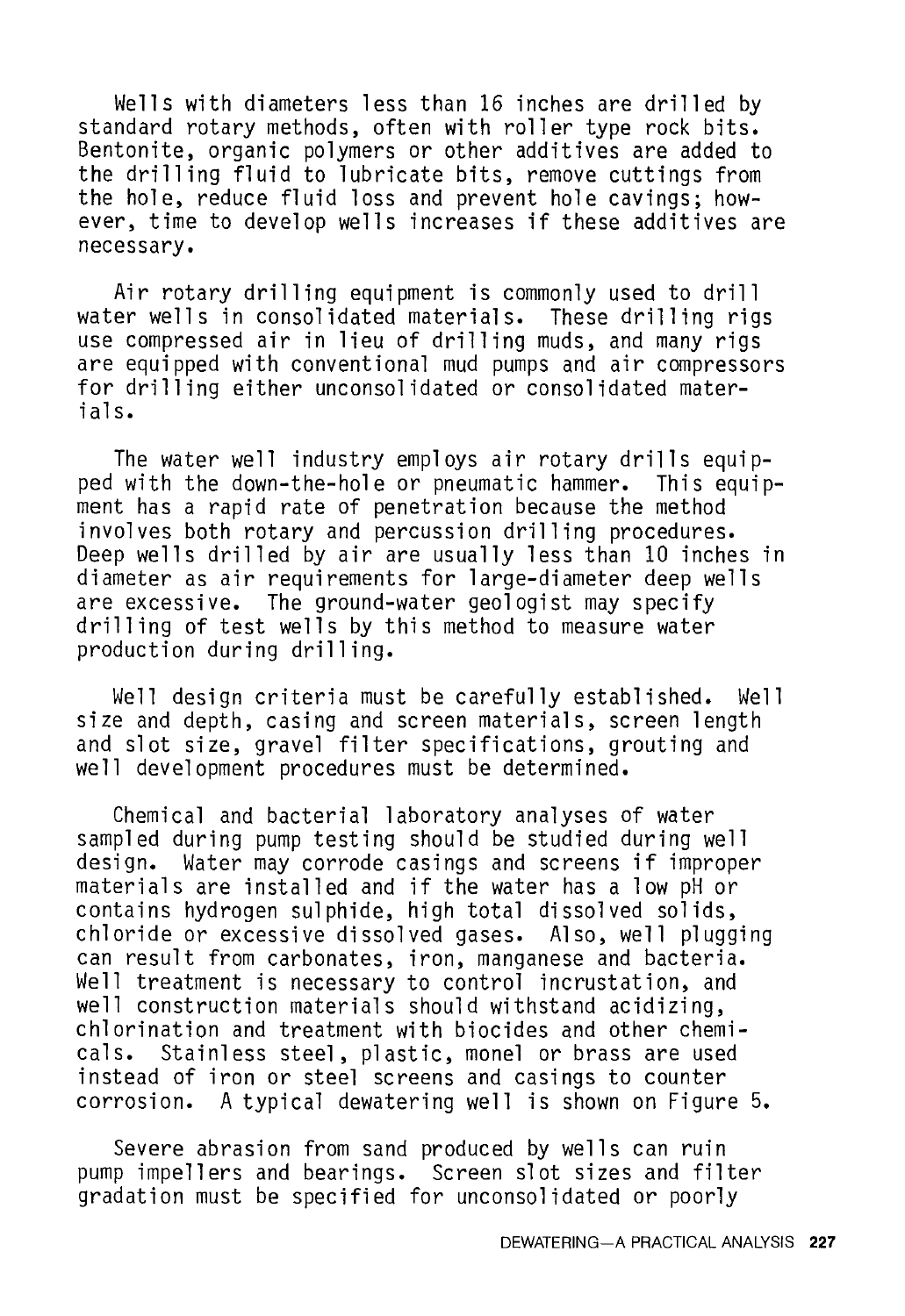Wells with diameters less than 16 inches are drilled by standard rotary methods, often with roller type rock bits. Bentonite, organic polymers or other additives are added to the drilling fluid to lubricate bits, remove cuttings from the hole, reduce fluid loss and prevent hole cavings; however, time to develop wells increases if these additives are necessary.

Air rotary drilling equipment is commonly used to drill water wells in consolidated materials. These drilling rigs use compressed air in lieu of drilling muds, and many rigs are equipped with conventional mud pumps and air compressors for drilling either unconsolidated or consolidated materials.

The water well industry employs air rotary drills equipped with the down-the-hole or pneumatic hammer. ment has a rapid rate of penetration because the method involves both rotary and percussion drilling procedures. Deep wells drilled by air are usually less than 10 inches in diameter as air requirements for large-diameter deep wells are excessive. The ground-water geologist may specify drilling of test wells by this method to measure water production during drilling.

Well design criteria must be carefully established. Well size and depth, casing and screen materials, screen length and slot size, gravel filter specifications, grouting and well development procedures must be determined.

Chemical and bacterial laboratory analyses of water sampled during pump testing should be studied during well<br>design. Water may corrode casings and screens if imprope Water may corrode casings and screens if improper materials are installed and if the water has a low pH or contains hydrogen sulphide, high total dissolved solids, chloride or excessive dissolved gases. Also, well plugging can result from carbonates, iron, manganese and bacteria. Well treatment is necessary to control incrustation, and well construction materials should withstand acidizing, chlorination and treatment with biocides and other chemi-Stainless steel, plastic, monel or brass are used instead of iron or steel screens and casings to counter corrosion. A typical dewatering well is shown on Figure 5.

Severe abrasion from sand produced by wells can ruin pump impellers and bearings. Screen slot sizes and filter gradation must be specified for unconsolidated or poorly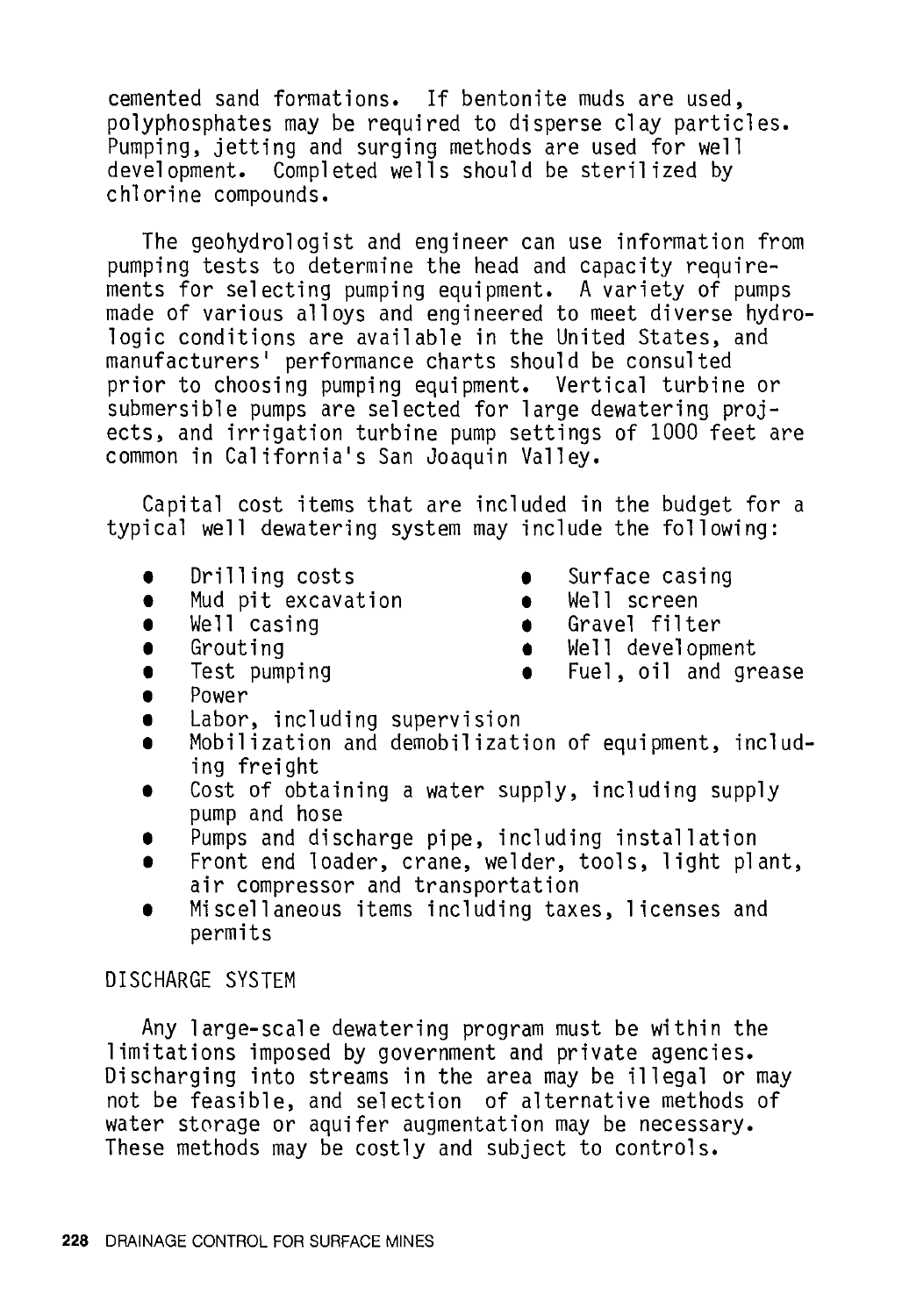cemented sand formations. If bentonite muds are used, polyphosphates may be required to disperse clay particles. Pumping, jetting and surging methods are used for well development. Completed wells should be sterilized by chlorine compounds.

The geohydrologist and engineer can use information from pumping tests to determine the head and capacity requirements for selecting pumping equipment. A variety of pumps made of various alloys and engineered to meet diverse hydrologic conditions are available in the United States, and manufacturers' performance charts should be consulted prior to choosing pumping equipment. Vertical turbine or submersible pumps are selected for large dewatering projects, and irrigation turbine pump settings of 1000 feet are common in California's San Joaquin Valley.

Capital cost items that are included in the budget for a typical well dewatering system may include the following:

- **t** Drilling costs **t** Surface casing
- Mud pit excavation **t** Well screen
- 
- 
- 
- 
- 
- **<sup>t</sup>**We 11 casing **t** Gravel filter
	- **t** Grouting **t** Well development
		- **t** Test pumping **t** Fuel, oil and grease
- **t** Power
- Labor, including supervision
- Mobilization and demobilization of equipment, including freight
- **•** Cost of obtaining a water supply, including supply pump and hose
- Pumps and discharge pipe, including installation
- **<sup>t</sup>**Front end loader, crane, welder, tools, light plant, air compressor and transportation
- **t** Miscellaneous items including taxes, licenses and permits

## DISCHARGE SYSTEM

Any large-scale dewatering program must be within the limitations imposed by government and private agencies. Discharging into streams in the area may be illegal or may not be feasible, and selection of alternative methods of water storage or aquifer augmentation may be necessary. These methods may be costly and subject to controls.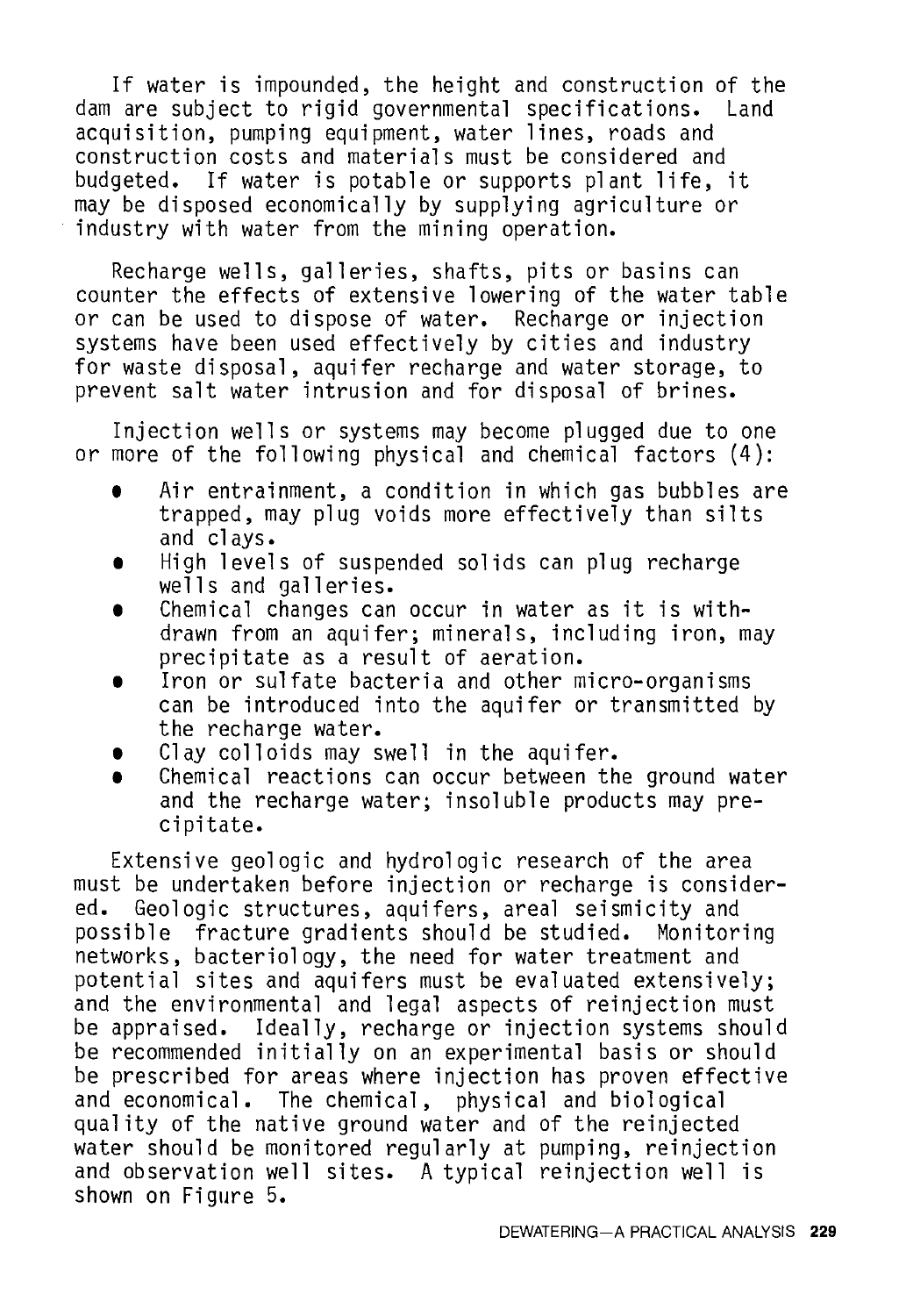If water is impounded, the height and construction of the<br>are subject to rigid governmental specifications. Land dam are subject to rigid governmental specifications. acquisition, pumping equipment, water lines, roads and construction costs and materials must be considered and budgeted. If water is potable or supports plant life, it may be disposed economically by supplying agriculture or industry with water from the mining operation.

Recharge wells, galleries, shafts, pits or basins can counter the effects of extensive lowering of the water table or can be used to dispose of water. Recharge or injection systems have been used effectively by cities and industry for waste disposal, aquifer recharge and water storage, to prevent salt water intrusion and for disposal of brines.

Injection wells or systems may become plugged due to one or more of the following physical and chemical factors (4):

- **t** Air entrainment, a condition in which gas bubbles are trapped, may plug voids more effectively than silts and clays.
- **<sup>t</sup>**High levels of suspended solids can plug recharge wells and galleries.
- **•** Chemical changes can occur in water as it is withdrawn from an aquifer; minerals, including iron, may precipitate as a result of aeration.
- Iron or sulfate bacteria and other micro-organisms can be introduced into the aquifer or transmitted by the recharge water.
- **t** Clay colloids may swell in the aquifer.
- Chemical reactions can occur between the ground water and the recharge water; insoluble products may precipitate.

Extensive geologic and hydrologic research of the area must be undertaken before injection or recharge is consider-<br>ed. Geologic structures, aquifers, areal seismicity and Geologic structures, aquifers, areal seismicity and possible fracture gradients should be studied. Monitoring networks, bacteriology, the need for water treatment and potential sites and aquifers must be evaluated extensively; and the environmental and legal aspects of reinjection must be appraised. Ideally, recharge or injection systems should be recommended initially on an experimental basis or should be prescribed for areas where injection has proven effective and economical. The chemical, physical and biological quality of the native ground water and of the reinjected water should be monitored regularly at pumping, reinjection and observation well sites. A typical reinjection well is shown on Figure 5.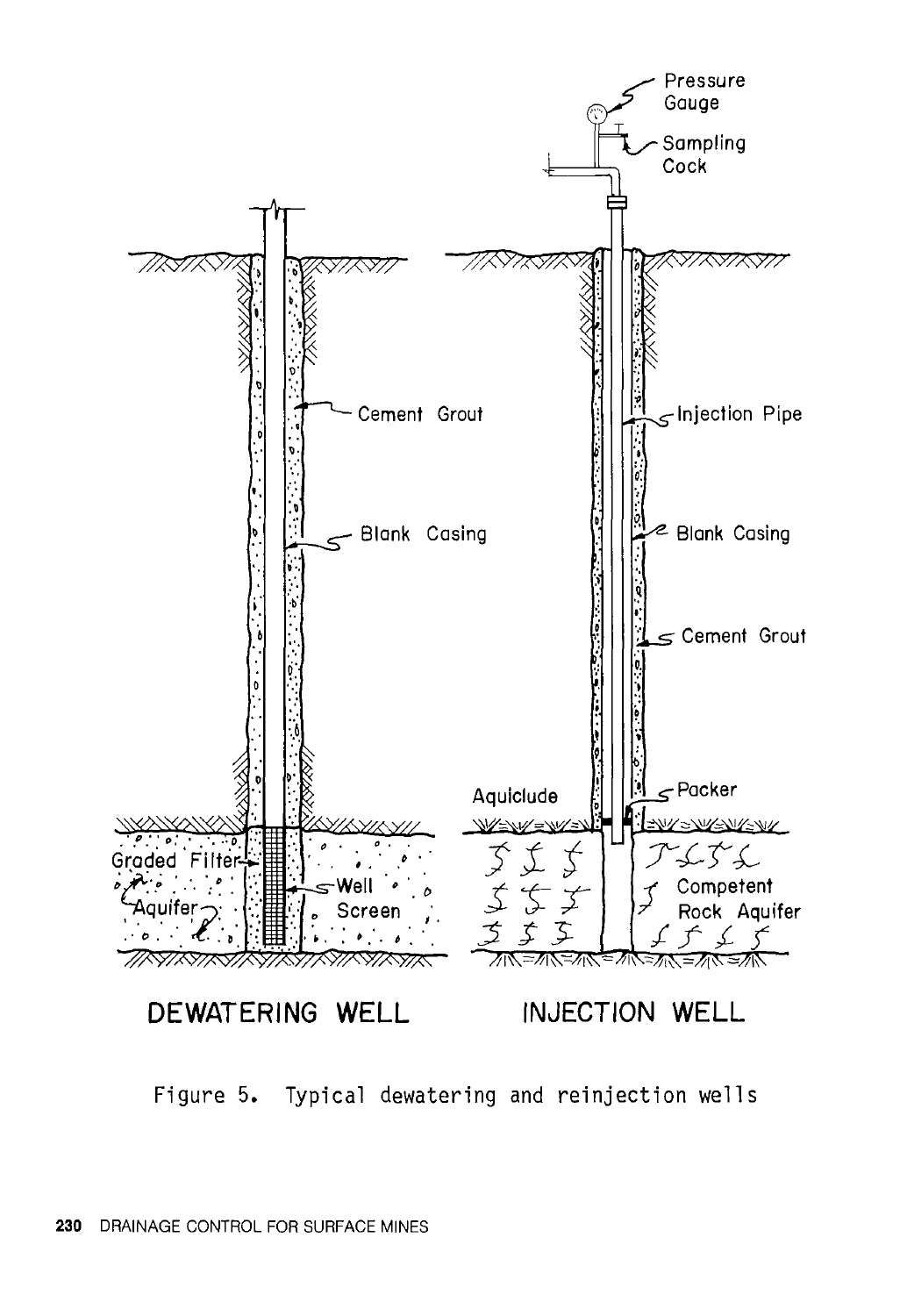

Figure 5. Typical dewatering and reinjection wells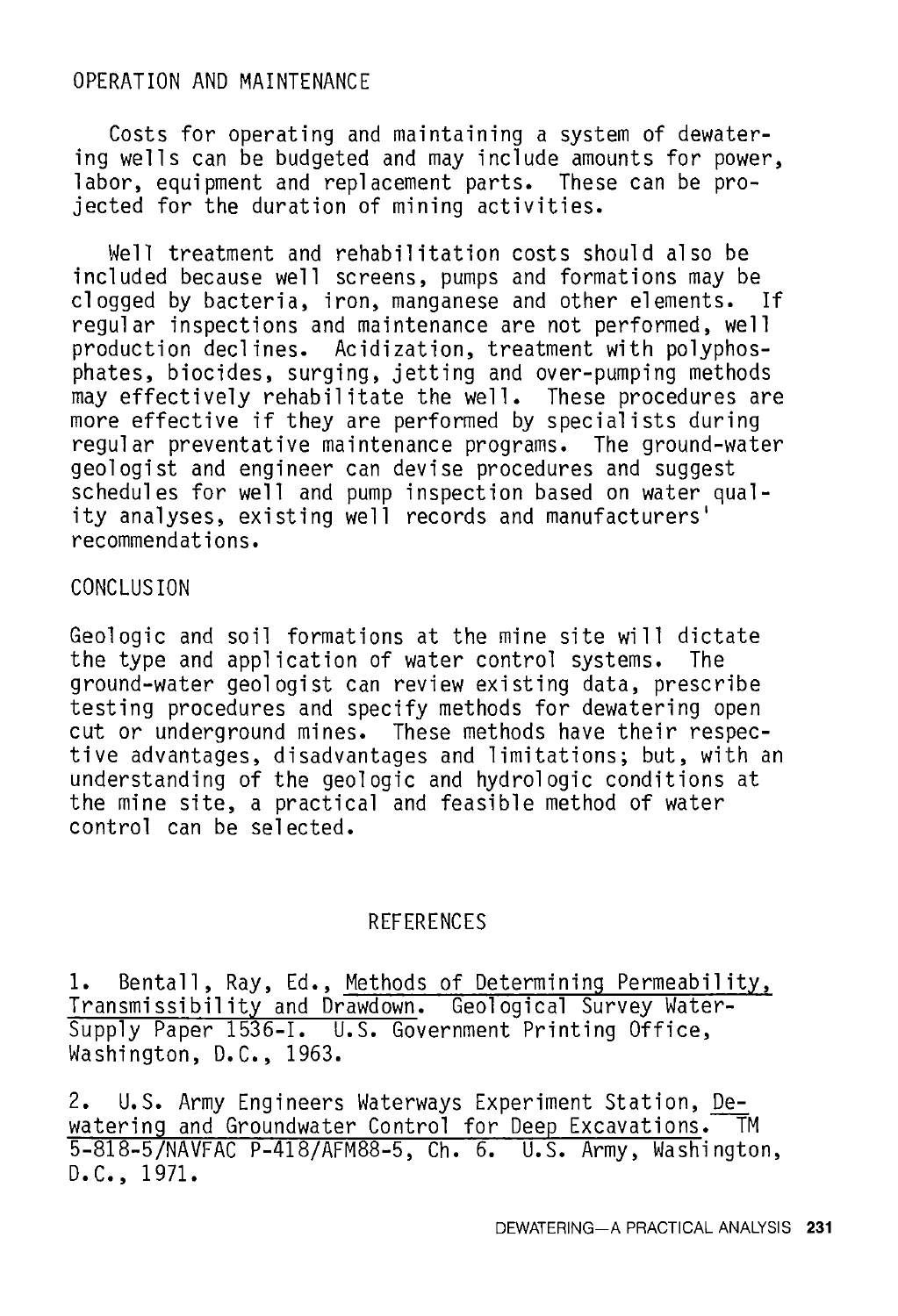## OPERATION AND MAINTENANCE

Costs for operating and maintaining a system of dewatering wells can be budgeted and may include amounts for power, labor, equipment and replacement parts. These can be projected for the duration of mining activities.

Well treatment and rehabilitation costs should also be included because well screens, pumps and formations may be clogged by bacteria, iron, manganese and other elements. If regular inspections and maintenance are not performed, well<br>production declines. Acidization, treatment with polyphosphates, biocides, surging, jetting and over-pumping methods may effectively rehabilitate the well. These procedures are more effective if they are performed by specialists during regular preventative maintenance programs. The ground-water geologist and engineer can devise procedures and suggest<br>schedules for well and pump inspection based on water quality analyses, existing well records and manufacturers' recommendations.

## CONCLUSION

Geologic and soil formations at the mine site will dictate the type and application of water control systems. The ground-water geologist can review existing data, prescribe testing procedures and specify methods for dewatering open cut or underground mines. These methods have their respective advantages, disadvantages and limitations; but, with an understanding of the geologic and hydrologic conditions at the mine site, a practical and feasible method of water control can be selected.

#### REFERENCES

1. Bentall, Ray, Ed., Methods of Determining Permeability, Transmissibility and Drawdown. Geological Survey Water-Supply Paper 1536-I. U.S. Government Printing Office, Washington, D.C., 1963.

2. U.S. Army Engineers Waterways Experiment Station, Dewatering and Groundwater Control for Deep Excavations. TM 5-818-5/NAVFAC P-418/AFM88-5, Ch. 6. U.S. Army, Washington, D.C., 1971.